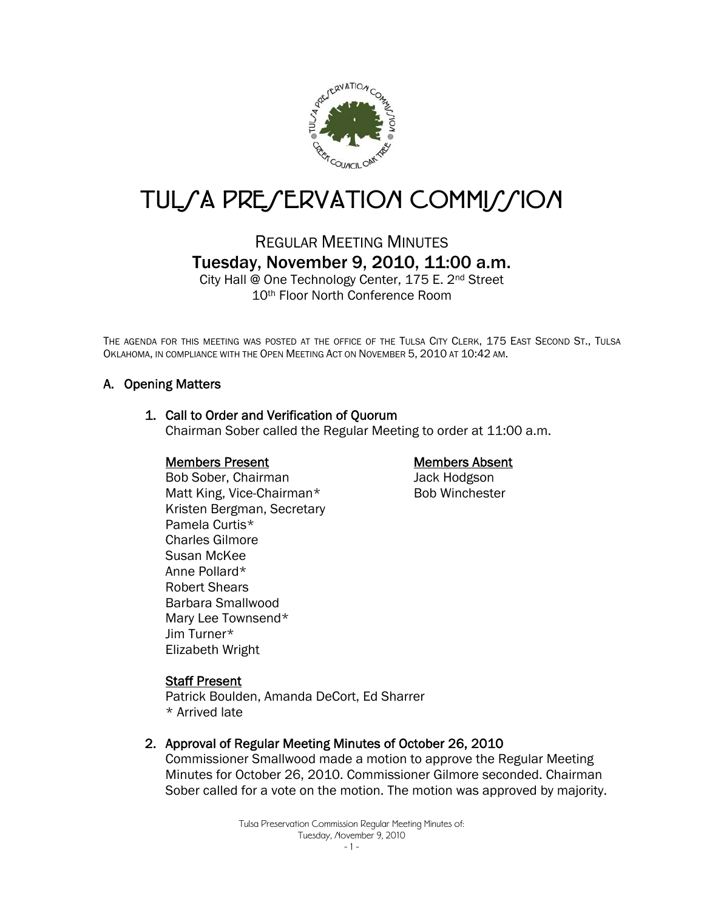

# TUL/A PRE/ERVATION COMMI//ION

# REGULAR MEETING MINUTES Tuesday, November 9, 2010, 11:00 a.m.

City Hall @ One Technology Center, 175 E. 2nd Street 10th Floor North Conference Room

THE AGENDA FOR THIS MEETING WAS POSTED AT THE OFFICE OF THE TULSA CITY CLERK, 175 EAST SECOND ST., TULSA OKLAHOMA, IN COMPLIANCE WITH THE OPEN MEETING ACT ON NOVEMBER 5, 2010 AT 10:42 AM.

# A. Opening Matters

#### 1. Call to Order and Verification of Quorum

Chairman Sober called the Regular Meeting to order at 11:00 a.m.

#### Members Present

# Members Absent

Jack Hodgson Bob Winchester

Bob Sober, Chairman Matt King, Vice-Chairman\* Kristen Bergman, Secretary Pamela Curtis\* Charles Gilmore Susan McKee Anne Pollard\* Robert Shears Barbara Smallwood Mary Lee Townsend\* Jim Turner\* Elizabeth Wright

#### **Staff Present**

Patrick Boulden, Amanda DeCort, Ed Sharrer \* Arrived late

#### 2. Approval of Regular Meeting Minutes of October 26, 2010

Commissioner Smallwood made a motion to approve the Regular Meeting Minutes for October 26, 2010. Commissioner Gilmore seconded. Chairman Sober called for a vote on the motion. The motion was approved by majority.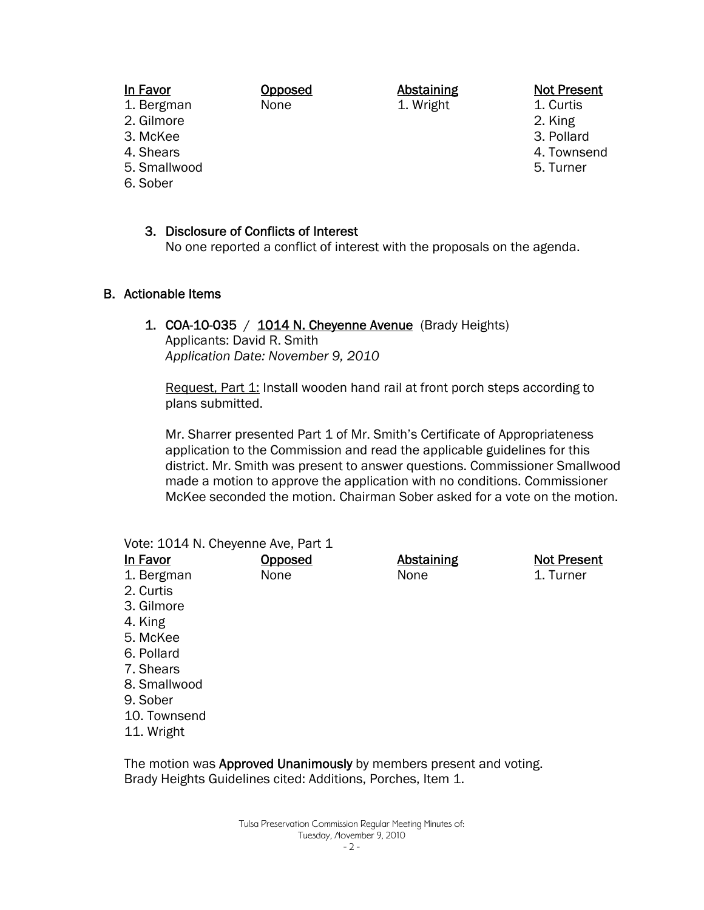#### In Favor

Opposed None

Abstaining 1. Wright

#### Not Present

- 1. Curtis
- 2. King
- 3. Pollard
- 4. Townsend
- 5. Turner
- 3. McKee 4. Shears
- 5. Smallwood

1. Bergman 2. Gilmore

6. Sober

3. Disclosure of Conflicts of Interest

No one reported a conflict of interest with the proposals on the agenda.

#### B. Actionable Items

1. COA-10-035 /  $1014$  N. Cheyenne Avenue (Brady Heights) Applicants: David R. Smith *Application Date: November 9, 2010*

Request, Part 1: Install wooden hand rail at front porch steps according to plans submitted.

Mr. Sharrer presented Part 1 of Mr. Smith's Certificate of Appropriateness application to the Commission and read the applicable guidelines for this district. Mr. Smith was present to answer questions. Commissioner Smallwood made a motion to approve the application with no conditions. Commissioner McKee seconded the motion. Chairman Sober asked for a vote on the motion.

| Vote: 1014 N. Cheyenne Ave, Part 1 |                |                   |                    |  |  |  |
|------------------------------------|----------------|-------------------|--------------------|--|--|--|
| <u>In Favor</u>                    | <u>Opposed</u> | <b>Abstaining</b> | <b>Not Present</b> |  |  |  |
| 1. Bergman                         | None           | None              | 1. Turner          |  |  |  |
| 2. Curtis                          |                |                   |                    |  |  |  |
| 3. Gilmore                         |                |                   |                    |  |  |  |
| 4. King                            |                |                   |                    |  |  |  |
| 5. McKee                           |                |                   |                    |  |  |  |
| 6. Pollard                         |                |                   |                    |  |  |  |
| 7. Shears                          |                |                   |                    |  |  |  |
| 8. Smallwood                       |                |                   |                    |  |  |  |
| 9. Sober                           |                |                   |                    |  |  |  |
| 10. Townsend                       |                |                   |                    |  |  |  |
| 11. Wright                         |                |                   |                    |  |  |  |

The motion was **Approved Unanimously** by members present and voting. Brady Heights Guidelines cited: Additions, Porches, Item 1.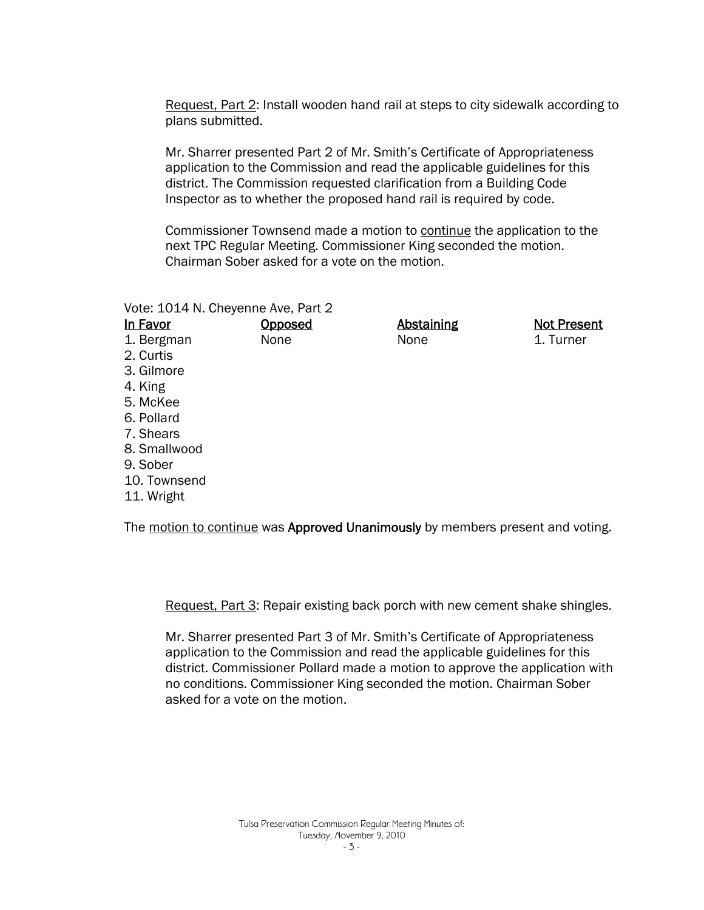Request, Part 2: Install wooden hand rail at steps to city sidewalk according to plans submitted.

Mr. Sharrer presented Part 2 of Mr. Smith's Certificate of Appropriateness application to the Commission and read the applicable guidelines for this district. The Commission requested clarification from a Building Code Inspector as to whether the proposed hand rail is required by code.

Commissioner Townsend made a motion to continue the application to the next TPC Regular Meeting. Commissioner King seconded the motion. Chairman Sober asked for a vote on the motion.

| Vote: 1014 N. Cheyenne Ave, Part 2 |         |                   |                    |
|------------------------------------|---------|-------------------|--------------------|
| In Favor                           | Opposed | <b>Abstaining</b> | <b>Not Present</b> |
| 1. Bergman                         | None    | None              | 1. Turner          |
| 2. Curtis                          |         |                   |                    |
| 3. Gilmore                         |         |                   |                    |
| 4. King                            |         |                   |                    |
| 5. McKee                           |         |                   |                    |
| 6. Pollard                         |         |                   |                    |
| 7. Shears                          |         |                   |                    |
| 8. Smallwood                       |         |                   |                    |
| 9. Sober                           |         |                   |                    |
| 10. Townsend                       |         |                   |                    |
|                                    |         |                   |                    |

11. Wright

The motion to continue was Approved Unanimously by members present and voting.

Request, Part 3: Repair existing back porch with new cement shake shingles.

Mr. Sharrer presented Part 3 of Mr. Smith's Certificate of Appropriateness application to the Commission and read the applicable guidelines for this district. Commissioner Pollard made a motion to approve the application with no conditions. Commissioner King seconded the motion. Chairman Sober asked for a vote on the motion.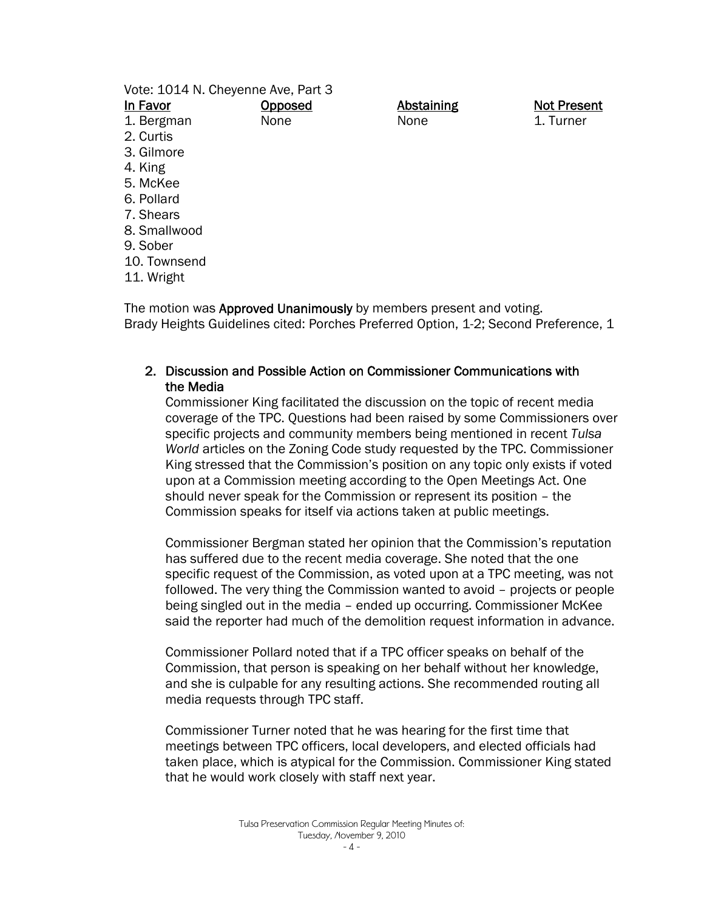| Vote: 1014 N. Cheyenne Ave, Part 3                                       |         |                   |                    |  |  |  |
|--------------------------------------------------------------------------|---------|-------------------|--------------------|--|--|--|
| In Favor                                                                 | Opposed | <b>Abstaining</b> | <b>Not Present</b> |  |  |  |
| 1. Bergman                                                               | None    | None              | 1. Turner          |  |  |  |
| 2. Curtis                                                                |         |                   |                    |  |  |  |
| 3. Gilmore                                                               |         |                   |                    |  |  |  |
| 4. King                                                                  |         |                   |                    |  |  |  |
| 5. McKee                                                                 |         |                   |                    |  |  |  |
| 6. Pollard                                                               |         |                   |                    |  |  |  |
| 7. Shears                                                                |         |                   |                    |  |  |  |
| 8. Smallwood                                                             |         |                   |                    |  |  |  |
| 9. Sober                                                                 |         |                   |                    |  |  |  |
| 10. Townsend                                                             |         |                   |                    |  |  |  |
| 11. Wright                                                               |         |                   |                    |  |  |  |
| The motion was <b>Annroved Unanimously</b> by members present and voting |         |                   |                    |  |  |  |

The motion was **Approved Unanimously** by members present and voting. Brady Heights Guidelines cited: Porches Preferred Option, 1-2; Second Preference, 1

#### 2. Discussion and Possible Action on Commissioner Communications with the Media

Commissioner King facilitated the discussion on the topic of recent media coverage of the TPC. Questions had been raised by some Commissioners over specific projects and community members being mentioned in recent *Tulsa World* articles on the Zoning Code study requested by the TPC. Commissioner King stressed that the Commission's position on any topic only exists if voted upon at a Commission meeting according to the Open Meetings Act. One should never speak for the Commission or represent its position – the Commission speaks for itself via actions taken at public meetings.

Commissioner Bergman stated her opinion that the Commission's reputation has suffered due to the recent media coverage. She noted that the one specific request of the Commission, as voted upon at a TPC meeting, was not followed. The very thing the Commission wanted to avoid – projects or people being singled out in the media – ended up occurring. Commissioner McKee said the reporter had much of the demolition request information in advance.

Commissioner Pollard noted that if a TPC officer speaks on behalf of the Commission, that person is speaking on her behalf without her knowledge, and she is culpable for any resulting actions. She recommended routing all media requests through TPC staff.

Commissioner Turner noted that he was hearing for the first time that meetings between TPC officers, local developers, and elected officials had taken place, which is atypical for the Commission. Commissioner King stated that he would work closely with staff next year.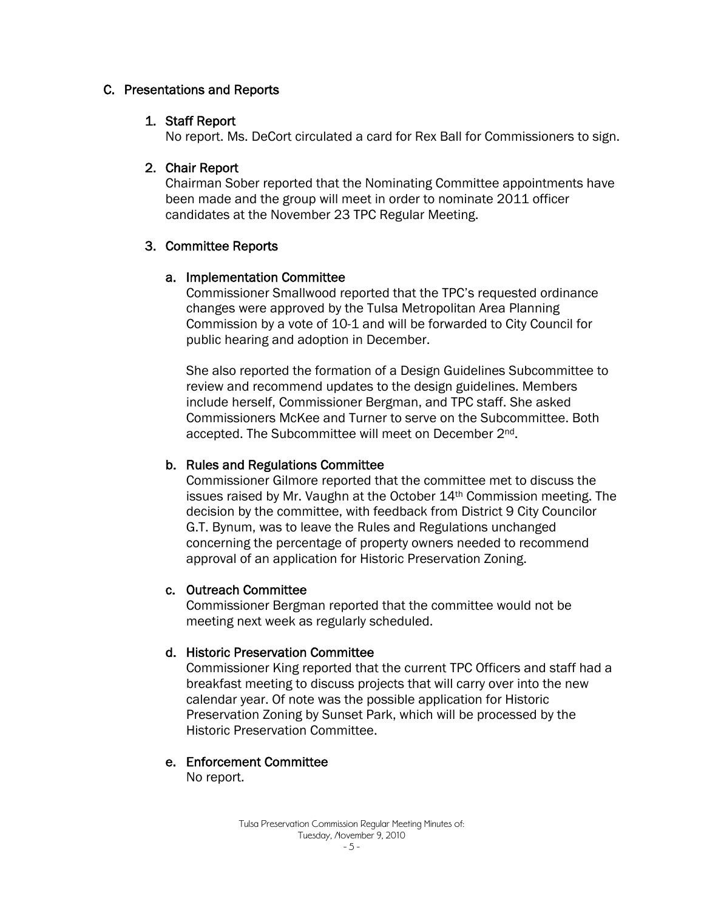#### C. Presentations and Reports

#### 1. Staff Report

No report. Ms. DeCort circulated a card for Rex Ball for Commissioners to sign.

# 2. Chair Report

Chairman Sober reported that the Nominating Committee appointments have been made and the group will meet in order to nominate 2011 officer candidates at the November 23 TPC Regular Meeting.

# 3. Committee Reports

# a. Implementation Committee

Commissioner Smallwood reported that the TPC's requested ordinance changes were approved by the Tulsa Metropolitan Area Planning Commission by a vote of 10-1 and will be forwarded to City Council for public hearing and adoption in December.

She also reported the formation of a Design Guidelines Subcommittee to review and recommend updates to the design guidelines. Members include herself, Commissioner Bergman, and TPC staff. She asked Commissioners McKee and Turner to serve on the Subcommittee. Both accepted. The Subcommittee will meet on December 2nd.

# b. Rules and Regulations Committee

Commissioner Gilmore reported that the committee met to discuss the issues raised by Mr. Vaughn at the October 14th Commission meeting. The decision by the committee, with feedback from District 9 City Councilor G.T. Bynum, was to leave the Rules and Regulations unchanged concerning the percentage of property owners needed to recommend approval of an application for Historic Preservation Zoning.

# c. Outreach Committee

Commissioner Bergman reported that the committee would not be meeting next week as regularly scheduled.

# d. Historic Preservation Committee

Commissioner King reported that the current TPC Officers and staff had a breakfast meeting to discuss projects that will carry over into the new calendar year. Of note was the possible application for Historic Preservation Zoning by Sunset Park, which will be processed by the Historic Preservation Committee.

# e. Enforcement Committee

No report.